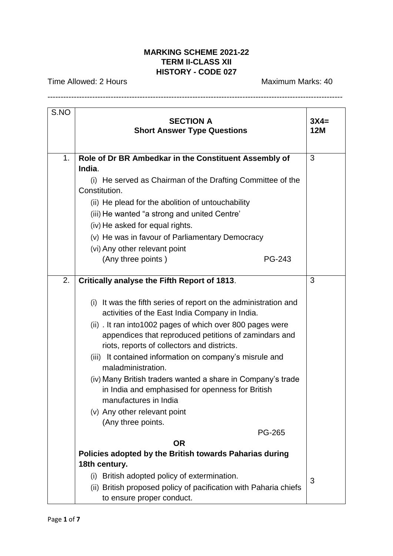## **MARKING SCHEME 2021-22 TERM II-CLASS XII HISTORY - CODE 027**

----------------------------------------------------------------------------------------------------------------

Time Allowed: 2 Hours Maximum Marks: 40

S.NO **SECTION A Short Answer Type Questions 3X4= 12M** 1. **Role of Dr BR Ambedkar in the Constituent Assembly of India**. (i) He served as Chairman of the Drafting Committee of the Constitution. (ii) He plead for the abolition of untouchability (iii) He wanted "a strong and united Centre' (iv) He asked for equal rights. (v) He was in favour of Parliamentary Democracy (vi) Any other relevant point (Any three points ) PG-243 3 2. **Critically analyse the Fifth Report of 1813**. (i) It was the fifth series of report on the administration and activities of the East India Company in India. (ii) . It ran into1002 pages of which over 800 pages were appendices that reproduced petitions of zamindars and riots, reports of collectors and districts. (iii) It contained information on company's misrule and maladministration. (iv) Many British traders wanted a share in Company's trade in India and emphasised for openness for British manufactures in India (v) Any other relevant point (Any three points. PG-265 **OR Policies adopted by the British towards Paharias during 18th century.** (i) British adopted policy of extermination. (ii) British proposed policy of pacification with Paharia chiefs to ensure proper conduct. 3 3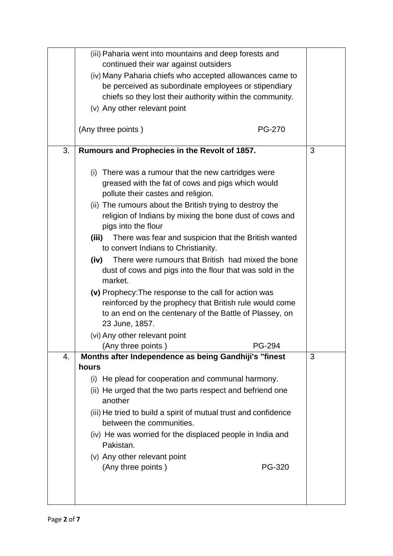|    | (iii) Paharia went into mountains and deep forests and                 |   |
|----|------------------------------------------------------------------------|---|
|    | continued their war against outsiders                                  |   |
|    | (iv) Many Paharia chiefs who accepted allowances came to               |   |
|    | be perceived as subordinate employees or stipendiary                   |   |
|    | chiefs so they lost their authority within the community.              |   |
|    | (v) Any other relevant point                                           |   |
|    | (Any three points)<br><b>PG-270</b>                                    |   |
| 3. | Rumours and Prophecies in the Revolt of 1857.                          | 3 |
|    |                                                                        |   |
|    | (i) There was a rumour that the new cartridges were                    |   |
|    | greased with the fat of cows and pigs which would                      |   |
|    | pollute their castes and religion.                                     |   |
|    | (ii) The rumours about the British trying to destroy the               |   |
|    | religion of Indians by mixing the bone dust of cows and                |   |
|    | pigs into the flour                                                    |   |
|    | There was fear and suspicion that the British wanted<br>(iii)          |   |
|    | to convert Indians to Christianity.                                    |   |
|    | There were rumours that British had mixed the bone<br>(iv)             |   |
|    | dust of cows and pigs into the flour that was sold in the<br>market.   |   |
|    | (v) Prophecy: The response to the call for action was                  |   |
|    | reinforced by the prophecy that British rule would come                |   |
|    | to an end on the centenary of the Battle of Plassey, on                |   |
|    | 23 June, 1857.                                                         |   |
|    | (vi) Any other relevant point                                          |   |
|    | (Any three points)<br>PG-294                                           |   |
| 4. | Months after Independence as being Gandhiji's "finest                  | 3 |
|    | hours                                                                  |   |
|    | (i) He plead for cooperation and communal harmony.                     |   |
|    | (ii) He urged that the two parts respect and befriend one<br>another   |   |
|    | (iii) He tried to build a spirit of mutual trust and confidence        |   |
|    | between the communities.                                               |   |
|    | (iv) He was worried for the displaced people in India and<br>Pakistan. |   |
|    | (v) Any other relevant point                                           |   |
|    | (Any three points)<br>PG-320                                           |   |
|    |                                                                        |   |
|    |                                                                        |   |
|    |                                                                        |   |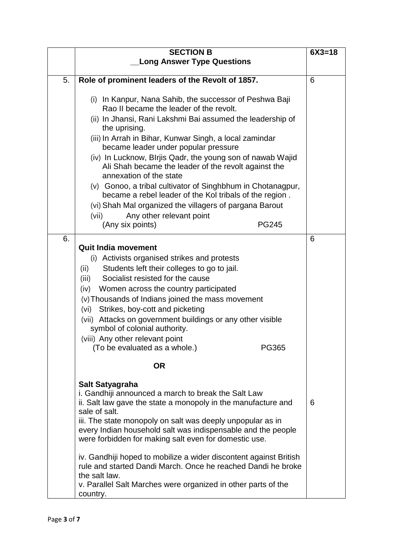|    | <b>SECTION B</b>                                                                                                                                                                                                                                                                                                                                                                                                                                                                                                                                                                                                                                                                                    | $6X3 = 18$ |
|----|-----------------------------------------------------------------------------------------------------------------------------------------------------------------------------------------------------------------------------------------------------------------------------------------------------------------------------------------------------------------------------------------------------------------------------------------------------------------------------------------------------------------------------------------------------------------------------------------------------------------------------------------------------------------------------------------------------|------------|
|    | <b>Long Answer Type Questions</b>                                                                                                                                                                                                                                                                                                                                                                                                                                                                                                                                                                                                                                                                   |            |
| 5. | Role of prominent leaders of the Revolt of 1857.                                                                                                                                                                                                                                                                                                                                                                                                                                                                                                                                                                                                                                                    | 6          |
|    | (i) In Kanpur, Nana Sahib, the successor of Peshwa Baji<br>Rao II became the leader of the revolt.<br>(ii) In Jhansi, Rani Lakshmi Bai assumed the leadership of<br>the uprising.<br>(iii) In Arrah in Bihar, Kunwar Singh, a local zamindar<br>became leader under popular pressure<br>(iv) In Lucknow, Blrjis Qadr, the young son of nawab Wajid<br>Ali Shah became the leader of the revolt against the<br>annexation of the state<br>(v) Gonoo, a tribal cultivator of Singhbhum in Chotanagpur,<br>became a rebel leader of the Kol tribals of the region.<br>(vi) Shah Mal organized the villagers of pargana Barout<br>Any other relevant point<br>(vii)<br>(Any six points)<br><b>PG245</b> |            |
| 6. |                                                                                                                                                                                                                                                                                                                                                                                                                                                                                                                                                                                                                                                                                                     | 6          |
|    | <b>Quit India movement</b><br>(i) Activists organised strikes and protests<br>Students left their colleges to go to jail.<br>(ii)<br>Socialist resisted for the cause<br>(iii)<br>(iv)<br>Women across the country participated<br>(v) Thousands of Indians joined the mass movement<br>Strikes, boy-cott and picketing<br>(vi)<br>(vii) Attacks on government buildings or any other visible<br>symbol of colonial authority.<br>(viii) Any other relevant point<br>(To be evaluated as a whole.)<br>PG365                                                                                                                                                                                         |            |
|    | <b>OR</b>                                                                                                                                                                                                                                                                                                                                                                                                                                                                                                                                                                                                                                                                                           |            |
|    | Salt Satyagraha<br>i. Gandhiji announced a march to break the Salt Law<br>ii. Salt law gave the state a monopoly in the manufacture and<br>sale of salt.<br>iii. The state monopoly on salt was deeply unpopular as in<br>every Indian household salt was indispensable and the people<br>were forbidden for making salt even for domestic use.                                                                                                                                                                                                                                                                                                                                                     | 6          |
|    | iv. Gandhiji hoped to mobilize a wider discontent against British<br>rule and started Dandi March. Once he reached Dandi he broke<br>the salt law.<br>v. Parallel Salt Marches were organized in other parts of the<br>country.                                                                                                                                                                                                                                                                                                                                                                                                                                                                     |            |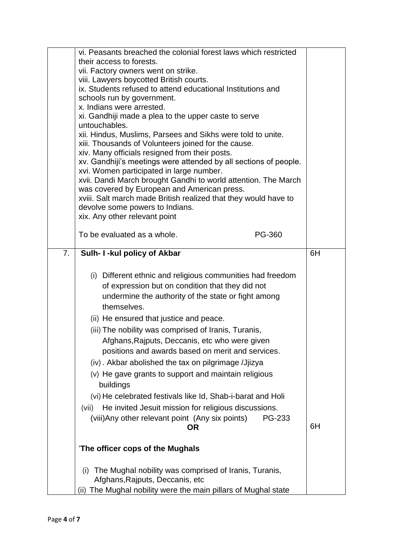|    | vi. Peasants breached the colonial forest laws which restricted<br>their access to forests.<br>vii. Factory owners went on strike.<br>viii. Lawyers boycotted British courts.<br>ix. Students refused to attend educational Institutions and<br>schools run by government.<br>x. Indians were arrested.<br>xi. Gandhiji made a plea to the upper caste to serve<br>untouchables.<br>xii. Hindus, Muslims, Parsees and Sikhs were told to unite.<br>xiii. Thousands of Volunteers joined for the cause.                                                                                                                                                                                                                         |    |
|----|--------------------------------------------------------------------------------------------------------------------------------------------------------------------------------------------------------------------------------------------------------------------------------------------------------------------------------------------------------------------------------------------------------------------------------------------------------------------------------------------------------------------------------------------------------------------------------------------------------------------------------------------------------------------------------------------------------------------------------|----|
|    | xiv. Many officials resigned from their posts.<br>xv. Gandhiji's meetings were attended by all sections of people.<br>xvi. Women participated in large number.<br>xvii. Dandi March brought Gandhi to world attention. The March<br>was covered by European and American press.<br>xviii. Salt march made British realized that they would have to<br>devolve some powers to Indians.                                                                                                                                                                                                                                                                                                                                          |    |
|    | xix. Any other relevant point<br>PG-360<br>To be evaluated as a whole.                                                                                                                                                                                                                                                                                                                                                                                                                                                                                                                                                                                                                                                         |    |
| 7. | Sulh- I -kul policy of Akbar                                                                                                                                                                                                                                                                                                                                                                                                                                                                                                                                                                                                                                                                                                   | 6H |
|    | (i) Different ethnic and religious communities had freedom<br>of expression but on condition that they did not<br>undermine the authority of the state or fight among<br>themselves.<br>(ii) He ensured that justice and peace.<br>(iii) The nobility was comprised of Iranis, Turanis,<br>Afghans, Rajputs, Deccanis, etc who were given<br>positions and awards based on merit and services.<br>(iv). Akbar abolished the tax on pilgrimage /Jjizya<br>(v) He gave grants to support and maintain religious<br>buildings<br>(vi) He celebrated festivals like Id, Shab-i-barat and Holi<br>He invited Jesuit mission for religious discussions.<br>(vii)<br>(viii) Any other relevant point (Any six points)<br>PG-233<br>ΟR | 6H |
|    | 'The officer cops of the Mughals                                                                                                                                                                                                                                                                                                                                                                                                                                                                                                                                                                                                                                                                                               |    |
|    | The Mughal nobility was comprised of Iranis, Turanis,<br>(i)<br>Afghans, Rajputs, Deccanis, etc.                                                                                                                                                                                                                                                                                                                                                                                                                                                                                                                                                                                                                               |    |
|    | (ii) The Mughal nobility were the main pillars of Mughal state                                                                                                                                                                                                                                                                                                                                                                                                                                                                                                                                                                                                                                                                 |    |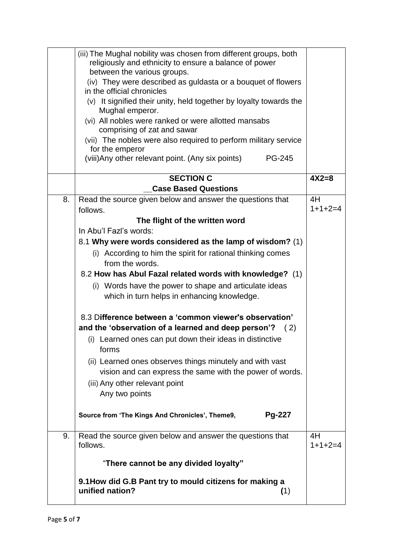|    | (iii) The Mughal nobility was chosen from different groups, both                                                     |                 |
|----|----------------------------------------------------------------------------------------------------------------------|-----------------|
|    | religiously and ethnicity to ensure a balance of power                                                               |                 |
|    | between the various groups.<br>(iv) They were described as guldasta or a bouquet of flowers                          |                 |
|    | in the official chronicles                                                                                           |                 |
|    | (v) It signified their unity, held together by loyalty towards the                                                   |                 |
|    | Mughal emperor.                                                                                                      |                 |
|    | (vi) All nobles were ranked or were allotted mansabs                                                                 |                 |
|    | comprising of zat and sawar                                                                                          |                 |
|    | (vii) The nobles were also required to perform military service                                                      |                 |
|    | for the emperor<br>(viii) Any other relevant point. (Any six points)<br><b>PG-245</b>                                |                 |
|    |                                                                                                                      |                 |
|    | <b>SECTION C</b>                                                                                                     | $4X2=8$         |
|    | <b>Case Based Questions</b>                                                                                          |                 |
| 8. | Read the source given below and answer the questions that                                                            | 4H              |
|    | follows.                                                                                                             | $1+1+2=4$       |
|    | The flight of the written word                                                                                       |                 |
|    | In Abu'l Fazl's words:                                                                                               |                 |
|    | 8.1 Why were words considered as the lamp of wisdom? (1)                                                             |                 |
|    | (i) According to him the spirit for rational thinking comes                                                          |                 |
|    | from the words.                                                                                                      |                 |
|    | 8.2 How has Abul Fazal related words with knowledge? (1)                                                             |                 |
|    | (i) Words have the power to shape and articulate ideas                                                               |                 |
|    | which in turn helps in enhancing knowledge.                                                                          |                 |
|    | 8.3 Difference between a 'common viewer's observation'                                                               |                 |
|    | and the 'observation of a learned and deep person'? $(2)$                                                            |                 |
|    | (i) Learned ones can put down their ideas in distinctive<br>forms                                                    |                 |
|    |                                                                                                                      |                 |
|    | (ii) Learned ones observes things minutely and with vast<br>vision and can express the same with the power of words. |                 |
|    | (iii) Any other relevant point                                                                                       |                 |
|    | Any two points                                                                                                       |                 |
|    | Pg-227<br>Source from 'The Kings And Chronicles', Theme9,                                                            |                 |
|    |                                                                                                                      |                 |
| 9. | Read the source given below and answer the questions that<br>follows.                                                | 4H<br>$1+1+2=4$ |
|    | "There cannot be any divided loyalty"                                                                                |                 |
|    | 9.1 How did G.B Pant try to mould citizens for making a                                                              |                 |
|    | unified nation?<br>(1)                                                                                               |                 |
|    |                                                                                                                      |                 |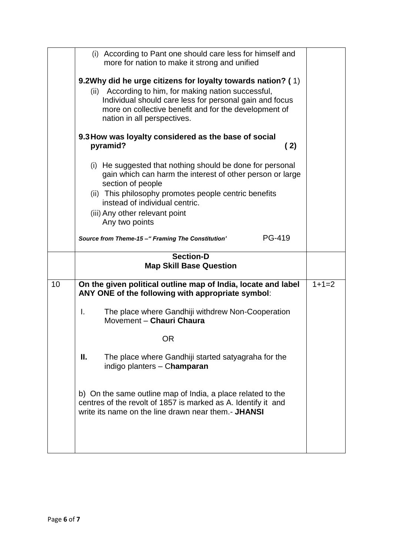|    | (i) According to Pant one should care less for himself and<br>more for nation to make it strong and unified                                                                                                                                                               |         |
|----|---------------------------------------------------------------------------------------------------------------------------------------------------------------------------------------------------------------------------------------------------------------------------|---------|
|    | 9.2Why did he urge citizens for loyalty towards nation? (1)<br>According to him, for making nation successful,<br>(ii)<br>Individual should care less for personal gain and focus<br>more on collective benefit and for the development of<br>nation in all perspectives. |         |
|    | 9.3 How was loyalty considered as the base of social<br>pyramid?<br>(2)                                                                                                                                                                                                   |         |
|    | (i) He suggested that nothing should be done for personal<br>gain which can harm the interest of other person or large<br>section of people                                                                                                                               |         |
|    | (ii) This philosophy promotes people centric benefits<br>instead of individual centric.<br>(iii) Any other relevant point<br>Any two points                                                                                                                               |         |
|    | PG-419<br>Source from Theme-15 - "Framing The Constitution'                                                                                                                                                                                                               |         |
|    | <b>Section-D</b><br><b>Map Skill Base Question</b>                                                                                                                                                                                                                        |         |
| 10 | On the given political outline map of India, locate and label<br>ANY ONE of the following with appropriate symbol:                                                                                                                                                        | $1+1=2$ |
|    | The place where Gandhiji withdrew Non-Cooperation<br>Ι.<br>Movement - Chauri Chaura                                                                                                                                                                                       |         |
|    | <b>OR</b>                                                                                                                                                                                                                                                                 |         |
|    | The place where Gandhiji started satyagraha for the<br>Ш.<br>indigo planters - Champaran                                                                                                                                                                                  |         |
|    | b) On the same outline map of India, a place related to the<br>centres of the revolt of 1857 is marked as A. Identify it and<br>write its name on the line drawn near them.- JHANSI                                                                                       |         |